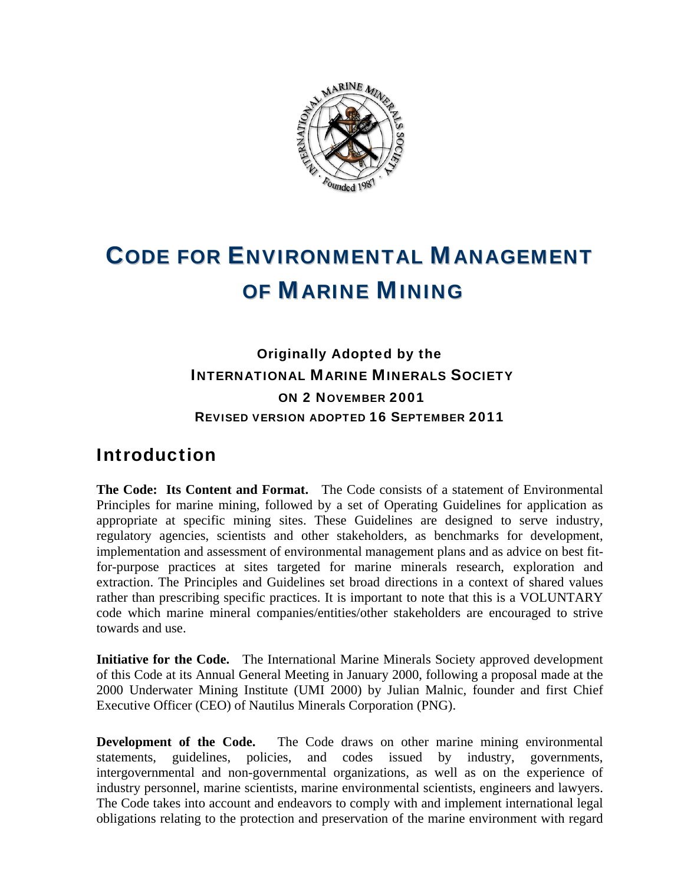

# CODE FOR ENVIRONMENTAL MANAGEMENT OF MARINE MINING

Originally Adopted by the INTERNATIONAL MARINE MINERALS SOCIETY ON 2 NOVEMBER 2001 REVISED VERSION ADOPTED 16 SEPTEMBER 2011

# Introduction

**The Code: Its Content and Format.** The Code consists of a statement of Environmental Principles for marine mining, followed by a set of Operating Guidelines for application as appropriate at specific mining sites. These Guidelines are designed to serve industry, regulatory agencies, scientists and other stakeholders, as benchmarks for development, implementation and assessment of environmental management plans and as advice on best fitfor-purpose practices at sites targeted for marine minerals research, exploration and extraction. The Principles and Guidelines set broad directions in a context of shared values rather than prescribing specific practices. It is important to note that this is a VOLUNTARY code which marine mineral companies/entities/other stakeholders are encouraged to strive towards and use.

**Initiative for the Code.** The International Marine Minerals Society approved development of this Code at its Annual General Meeting in January 2000, following a proposal made at the 2000 Underwater Mining Institute (UMI 2000) by Julian Malnic, founder and first Chief Executive Officer (CEO) of Nautilus Minerals Corporation (PNG).

**Development of the Code.** The Code draws on other marine mining environmental statements, guidelines, policies, and codes issued by industry, governments, intergovernmental and non-governmental organizations, as well as on the experience of industry personnel, marine scientists, marine environmental scientists, engineers and lawyers. The Code takes into account and endeavors to comply with and implement international legal obligations relating to the protection and preservation of the marine environment with regard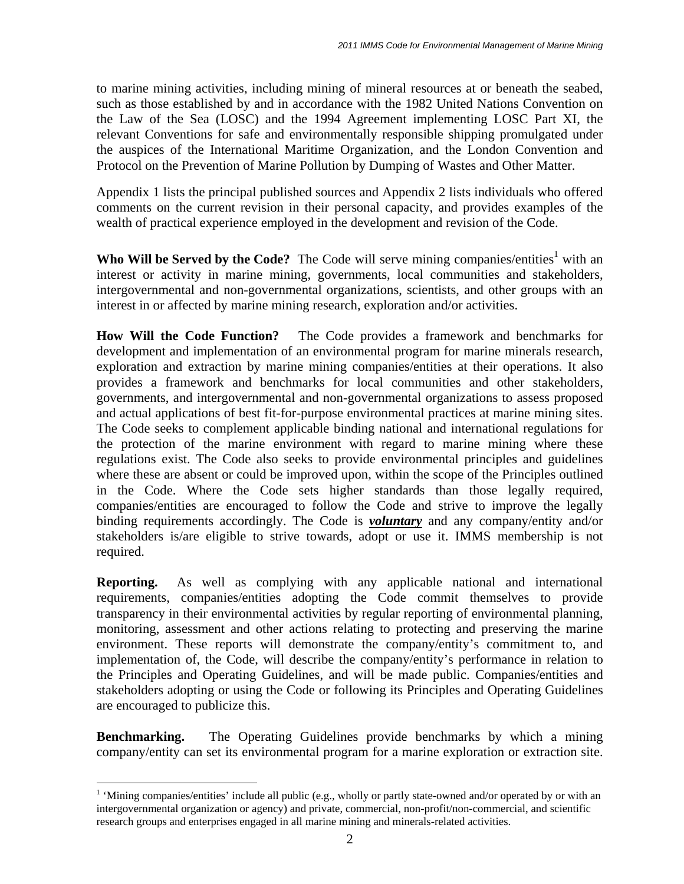to marine mining activities, including mining of mineral resources at or beneath the seabed, such as those established by and in accordance with the 1982 United Nations Convention on the Law of the Sea (LOSC) and the 1994 Agreement implementing LOSC Part XI, the relevant Conventions for safe and environmentally responsible shipping promulgated under the auspices of the International Maritime Organization, and the London Convention and Protocol on the Prevention of Marine Pollution by Dumping of Wastes and Other Matter.

Appendix 1 lists the principal published sources and Appendix 2 lists individuals who offered comments on the current revision in their personal capacity, and provides examples of the wealth of practical experience employed in the development and revision of the Code.

Who Will be Served by the Code? The Code will serve mining companies/entities<sup>1</sup> with an interest or activity in marine mining, governments, local communities and stakeholders, intergovernmental and non-governmental organizations, scientists, and other groups with an interest in or affected by marine mining research, exploration and/or activities.

**How Will the Code Function?** The Code provides a framework and benchmarks for development and implementation of an environmental program for marine minerals research, exploration and extraction by marine mining companies/entities at their operations. It also provides a framework and benchmarks for local communities and other stakeholders, governments, and intergovernmental and non-governmental organizations to assess proposed and actual applications of best fit-for-purpose environmental practices at marine mining sites. The Code seeks to complement applicable binding national and international regulations for the protection of the marine environment with regard to marine mining where these regulations exist. The Code also seeks to provide environmental principles and guidelines where these are absent or could be improved upon, within the scope of the Principles outlined in the Code. Where the Code sets higher standards than those legally required, companies/entities are encouraged to follow the Code and strive to improve the legally binding requirements accordingly. The Code is *voluntary* and any company/entity and/or stakeholders is/are eligible to strive towards, adopt or use it. IMMS membership is not required.

**Reporting.** As well as complying with any applicable national and international requirements, companies/entities adopting the Code commit themselves to provide transparency in their environmental activities by regular reporting of environmental planning, monitoring, assessment and other actions relating to protecting and preserving the marine environment. These reports will demonstrate the company/entity's commitment to, and implementation of, the Code, will describe the company/entity's performance in relation to the Principles and Operating Guidelines, and will be made public. Companies/entities and stakeholders adopting or using the Code or following its Principles and Operating Guidelines are encouraged to publicize this.

**Benchmarking.** The Operating Guidelines provide benchmarks by which a mining company/entity can set its environmental program for a marine exploration or extraction site.

<span id="page-1-0"></span> $\frac{1}{1}$ <sup>1</sup> 'Mining companies/entities' include all public (e.g., wholly or partly state-owned and/or operated by or with an intergovernmental organization or agency) and private, commercial, non-profit/non-commercial, and scientific research groups and enterprises engaged in all marine mining and minerals-related activities.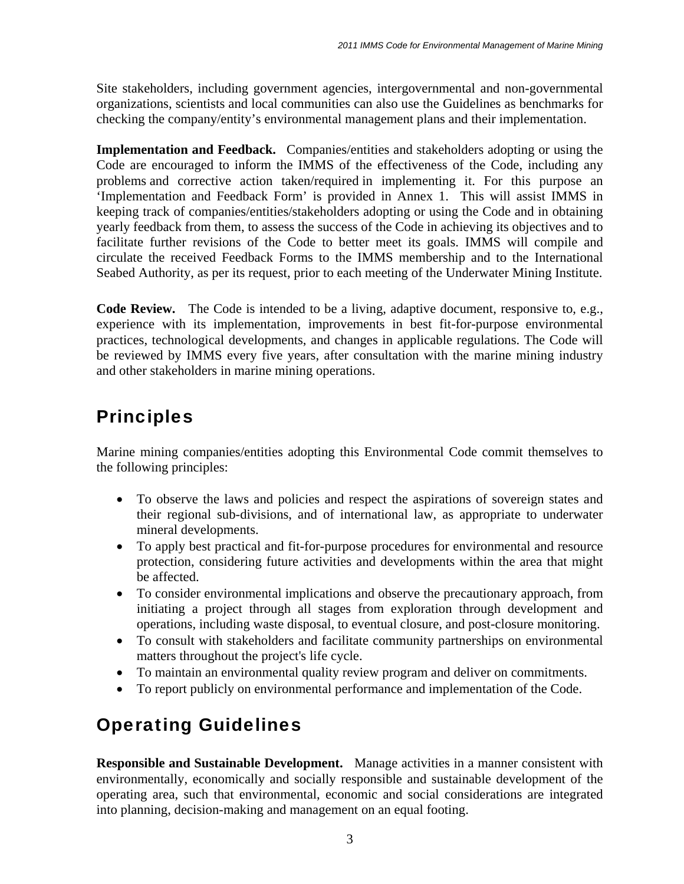Site stakeholders, including government agencies, intergovernmental and non-governmental organizations, scientists and local communities can also use the Guidelines as benchmarks for checking the company/entity's environmental management plans and their implementation.

**Implementation and Feedback.** Companies/entities and stakeholders adopting or using the Code are encouraged to inform the IMMS of the effectiveness of the Code, including any problems and corrective action taken/required in implementing it. For this purpose an 'Implementation and Feedback Form' is provided in Annex 1. This will assist IMMS in keeping track of companies/entities/stakeholders adopting or using the Code and in obtaining yearly feedback from them, to assess the success of the Code in achieving its objectives and to facilitate further revisions of the Code to better meet its goals. IMMS will compile and circulate the received Feedback Forms to the IMMS membership and to the International Seabed Authority, as per its request, prior to each meeting of the Underwater Mining Institute.

**Code Review.** The Code is intended to be a living, adaptive document, responsive to, e.g., experience with its implementation, improvements in best fit-for-purpose environmental practices, technological developments, and changes in applicable regulations. The Code will be reviewed by IMMS every five years, after consultation with the marine mining industry and other stakeholders in marine mining operations.

# **Principles**

Marine mining companies/entities adopting this Environmental Code commit themselves to the following principles:

- To observe the laws and policies and respect the aspirations of sovereign states and their regional sub-divisions, and of international law, as appropriate to underwater mineral developments.
- To apply best practical and fit-for-purpose procedures for environmental and resource protection, considering future activities and developments within the area that might be affected.
- To consider environmental implications and observe the precautionary approach, from initiating a project through all stages from exploration through development and operations, including waste disposal, to eventual closure, and post-closure monitoring.
- To consult with stakeholders and facilitate community partnerships on environmental matters throughout the project's life cycle.
- To maintain an environmental quality review program and deliver on commitments.
- To report publicly on environmental performance and implementation of the Code.

# Operating Guidelines

**Responsible and Sustainable Development.** Manage activities in a manner consistent with environmentally, economically and socially responsible and sustainable development of the operating area, such that environmental, economic and social considerations are integrated into planning, decision-making and management on an equal footing.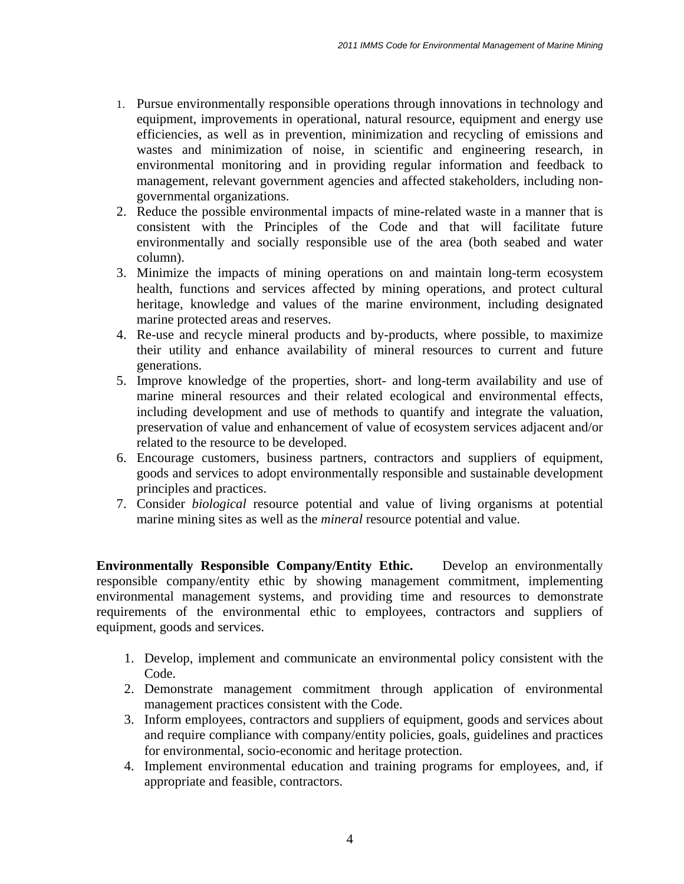- 1. Pursue environmentally responsible operations through innovations in technology and equipment, improvements in operational, natural resource, equipment and energy use efficiencies, as well as in prevention, minimization and recycling of emissions and wastes and minimization of noise, in scientific and engineering research, in environmental monitoring and in providing regular information and feedback to management, relevant government agencies and affected stakeholders, including nongovernmental organizations.
- 2. Reduce the possible environmental impacts of mine-related waste in a manner that is consistent with the Principles of the Code and that will facilitate future environmentally and socially responsible use of the area (both seabed and water column).
- 3. Minimize the impacts of mining operations on and maintain long-term ecosystem health, functions and services affected by mining operations, and protect cultural heritage, knowledge and values of the marine environment, including designated marine protected areas and reserves.
- 4. Re-use and recycle mineral products and by-products, where possible, to maximize their utility and enhance availability of mineral resources to current and future generations.
- 5. Improve knowledge of the properties, short- and long-term availability and use of marine mineral resources and their related ecological and environmental effects, including development and use of methods to quantify and integrate the valuation, preservation of value and enhancement of value of ecosystem services adjacent and/or related to the resource to be developed.
- 6. Encourage customers, business partners, contractors and suppliers of equipment, goods and services to adopt environmentally responsible and sustainable development principles and practices.
- 7. Consider *biological* resource potential and value of living organisms at potential marine mining sites as well as the *mineral* resource potential and value.

**Environmentally Responsible Company/Entity Ethic.** Develop an environmentally responsible company/entity ethic by showing management commitment, implementing environmental management systems, and providing time and resources to demonstrate requirements of the environmental ethic to employees, contractors and suppliers of equipment, goods and services.

- 1. Develop, implement and communicate an environmental policy consistent with the Code.
- 2. Demonstrate management commitment through application of environmental management practices consistent with the Code.
- 3. Inform employees, contractors and suppliers of equipment, goods and services about and require compliance with company/entity policies, goals, guidelines and practices for environmental, socio-economic and heritage protection.
- 4. Implement environmental education and training programs for employees, and, if appropriate and feasible, contractors.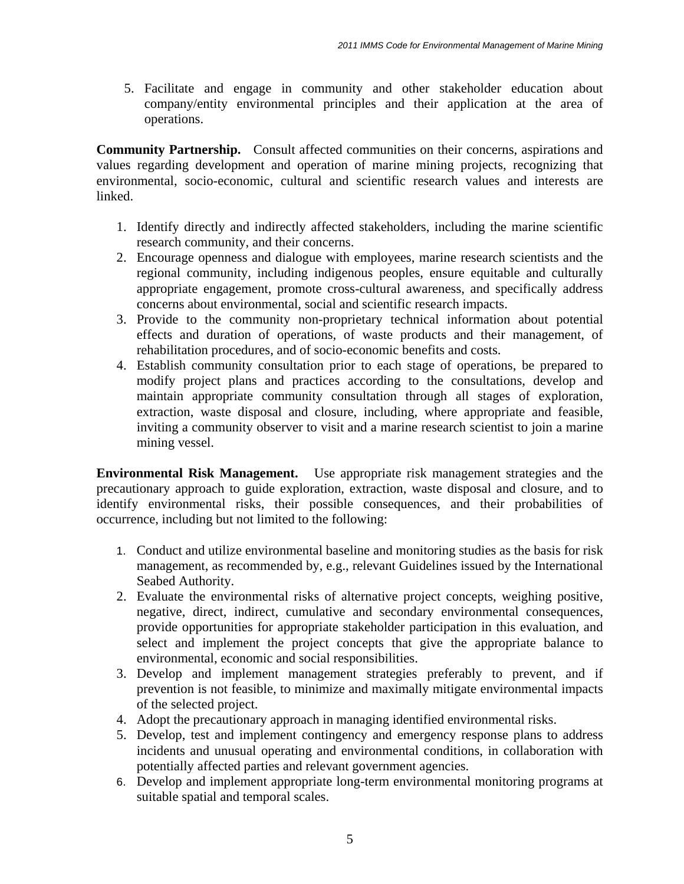5. Facilitate and engage in community and other stakeholder education about company/entity environmental principles and their application at the area of operations.

**Community Partnership.** Consult affected communities on their concerns, aspirations and values regarding development and operation of marine mining projects, recognizing that environmental, socio-economic, cultural and scientific research values and interests are linked.

- 1. Identify directly and indirectly affected stakeholders, including the marine scientific research community, and their concerns.
- 2. Encourage openness and dialogue with employees, marine research scientists and the regional community, including indigenous peoples, ensure equitable and culturally appropriate engagement, promote cross-cultural awareness, and specifically address concerns about environmental, social and scientific research impacts.
- 3. Provide to the community non-proprietary technical information about potential effects and duration of operations, of waste products and their management, of rehabilitation procedures, and of socio-economic benefits and costs.
- 4. Establish community consultation prior to each stage of operations, be prepared to modify project plans and practices according to the consultations, develop and maintain appropriate community consultation through all stages of exploration, extraction, waste disposal and closure, including, where appropriate and feasible, inviting a community observer to visit and a marine research scientist to join a marine mining vessel.

**Environmental Risk Management.** Use appropriate risk management strategies and the precautionary approach to guide exploration, extraction, waste disposal and closure, and to identify environmental risks, their possible consequences, and their probabilities of occurrence, including but not limited to the following:

- 1. Conduct and utilize environmental baseline and monitoring studies as the basis for risk management, as recommended by, e.g., relevant Guidelines issued by the International Seabed Authority.
- 2. Evaluate the environmental risks of alternative project concepts, weighing positive, negative, direct, indirect, cumulative and secondary environmental consequences, provide opportunities for appropriate stakeholder participation in this evaluation, and select and implement the project concepts that give the appropriate balance to environmental, economic and social responsibilities.
- 3. Develop and implement management strategies preferably to prevent, and if prevention is not feasible, to minimize and maximally mitigate environmental impacts of the selected project.
- 4. Adopt the precautionary approach in managing identified environmental risks.
- 5. Develop, test and implement contingency and emergency response plans to address incidents and unusual operating and environmental conditions, in collaboration with potentially affected parties and relevant government agencies.
- 6. Develop and implement appropriate long-term environmental monitoring programs at suitable spatial and temporal scales.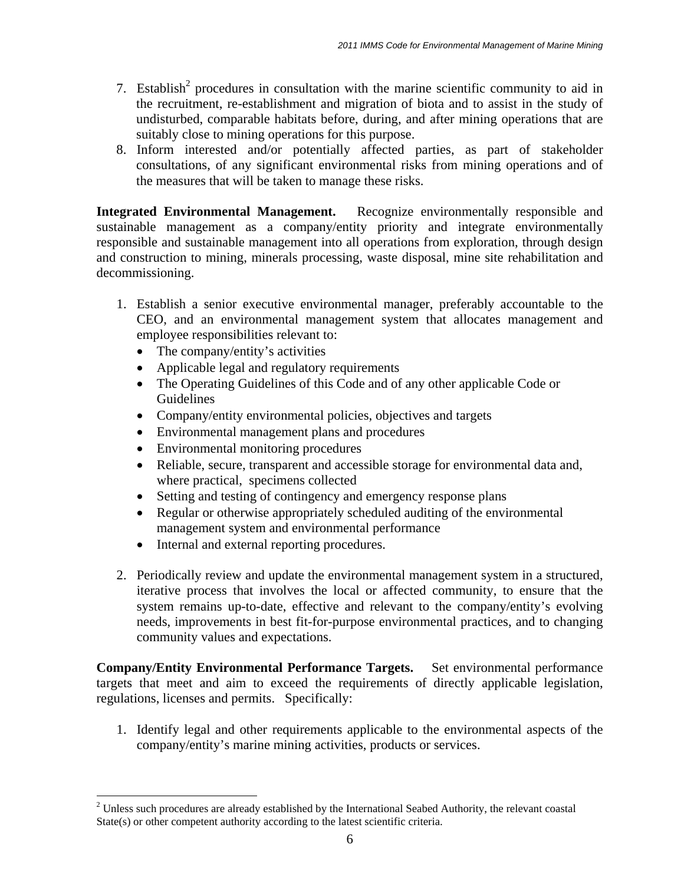- 7. Establish<sup>[2](#page-5-0)</sup> procedures in consultation with the marine scientific community to aid in the recruitment, re-establishment and migration of biota and to assist in the study of undisturbed, comparable habitats before, during, and after mining operations that are suitably close to mining operations for this purpose.
- 8. Inform interested and/or potentially affected parties, as part of stakeholder consultations, of any significant environmental risks from mining operations and of the measures that will be taken to manage these risks.

**Integrated Environmental Management.** Recognize environmentally responsible and sustainable management as a company/entity priority and integrate environmentally responsible and sustainable management into all operations from exploration, through design and construction to mining, minerals processing, waste disposal, mine site rehabilitation and decommissioning.

- 1. Establish a senior executive environmental manager, preferably accountable to the CEO, and an environmental management system that allocates management and employee responsibilities relevant to:
	- The company/entity's activities
	- Applicable legal and regulatory requirements
	- The Operating Guidelines of this Code and of any other applicable Code or Guidelines
	- Company/entity environmental policies, objectives and targets
	- Environmental management plans and procedures
	- Environmental monitoring procedures
	- Reliable, secure, transparent and accessible storage for environmental data and, where practical, specimens collected
	- Setting and testing of contingency and emergency response plans
	- Regular or otherwise appropriately scheduled auditing of the environmental management system and environmental performance
	- Internal and external reporting procedures.
- 2. Periodically review and update the environmental management system in a structured, iterative process that involves the local or affected community, to ensure that the system remains up-to-date, effective and relevant to the company/entity's evolving needs, improvements in best fit-for-purpose environmental practices, and to changing community values and expectations.

**Company/Entity Environmental Performance Targets.** Set environmental performance targets that meet and aim to exceed the requirements of directly applicable legislation, regulations, licenses and permits. Specifically:

1. Identify legal and other requirements applicable to the environmental aspects of the company/entity's marine mining activities, products or services.

<span id="page-5-0"></span> $\frac{1}{2}$ <sup>2</sup> Unless such procedures are already established by the International Seabed Authority, the relevant coastal State(s) or other competent authority according to the latest scientific criteria.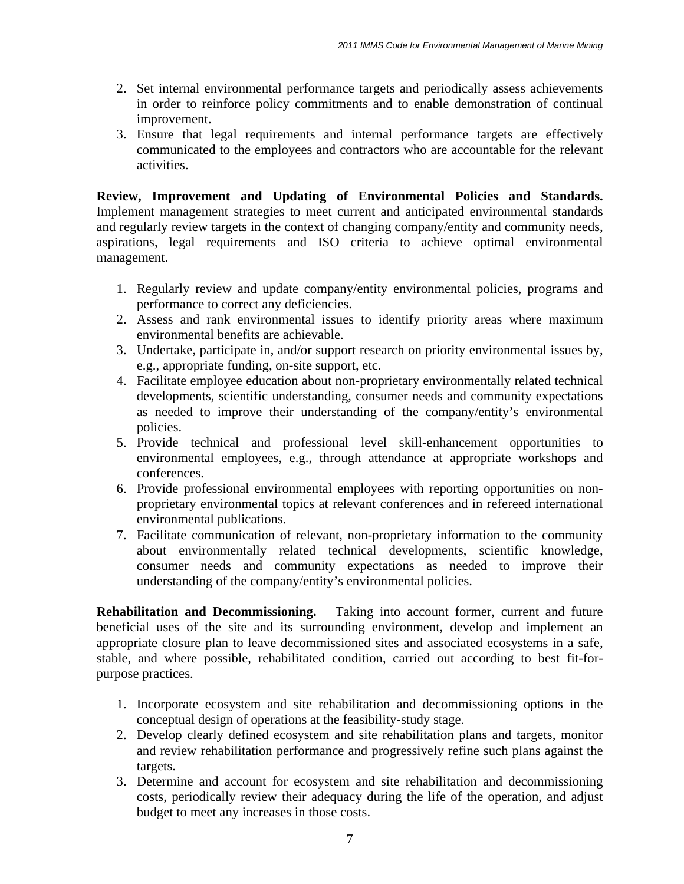- 2. Set internal environmental performance targets and periodically assess achievements in order to reinforce policy commitments and to enable demonstration of continual improvement.
- 3. Ensure that legal requirements and internal performance targets are effectively communicated to the employees and contractors who are accountable for the relevant activities.

**Review, Improvement and Updating of Environmental Policies and Standards.** Implement management strategies to meet current and anticipated environmental standards and regularly review targets in the context of changing company/entity and community needs, aspirations, legal requirements and ISO criteria to achieve optimal environmental management.

- 1. Regularly review and update company/entity environmental policies, programs and performance to correct any deficiencies.
- 2. Assess and rank environmental issues to identify priority areas where maximum environmental benefits are achievable.
- 3. Undertake, participate in, and/or support research on priority environmental issues by, e.g., appropriate funding, on-site support, etc.
- 4. Facilitate employee education about non-proprietary environmentally related technical developments, scientific understanding, consumer needs and community expectations as needed to improve their understanding of the company/entity's environmental policies.
- 5. Provide technical and professional level skill-enhancement opportunities to environmental employees, e.g., through attendance at appropriate workshops and conferences.
- 6. Provide professional environmental employees with reporting opportunities on nonproprietary environmental topics at relevant conferences and in refereed international environmental publications.
- 7. Facilitate communication of relevant, non-proprietary information to the community about environmentally related technical developments, scientific knowledge, consumer needs and community expectations as needed to improve their understanding of the company/entity's environmental policies.

**Rehabilitation and Decommissioning.** Taking into account former, current and future beneficial uses of the site and its surrounding environment, develop and implement an appropriate closure plan to leave decommissioned sites and associated ecosystems in a safe, stable, and where possible, rehabilitated condition, carried out according to best fit-forpurpose practices.

- 1. Incorporate ecosystem and site rehabilitation and decommissioning options in the conceptual design of operations at the feasibility-study stage.
- 2. Develop clearly defined ecosystem and site rehabilitation plans and targets, monitor and review rehabilitation performance and progressively refine such plans against the targets.
- 3. Determine and account for ecosystem and site rehabilitation and decommissioning costs, periodically review their adequacy during the life of the operation, and adjust budget to meet any increases in those costs.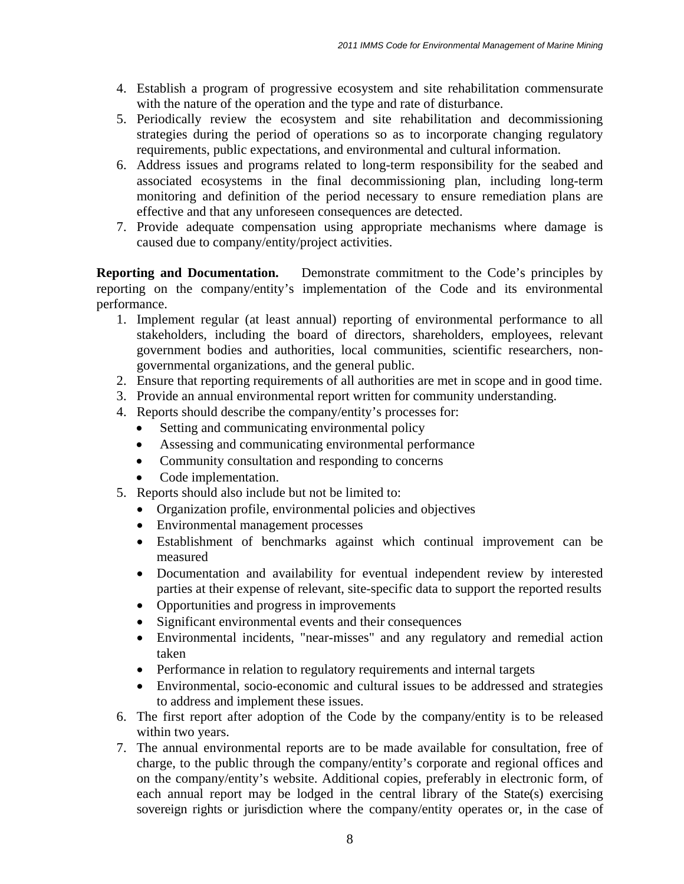- 4. Establish a program of progressive ecosystem and site rehabilitation commensurate with the nature of the operation and the type and rate of disturbance.
- 5. Periodically review the ecosystem and site rehabilitation and decommissioning strategies during the period of operations so as to incorporate changing regulatory requirements, public expectations, and environmental and cultural information.
- 6. Address issues and programs related to long-term responsibility for the seabed and associated ecosystems in the final decommissioning plan, including long-term monitoring and definition of the period necessary to ensure remediation plans are effective and that any unforeseen consequences are detected.
- 7. Provide adequate compensation using appropriate mechanisms where damage is caused due to company/entity/project activities.

**Reporting and Documentation.** Demonstrate commitment to the Code's principles by reporting on the company/entity's implementation of the Code and its environmental performance.

- 1. Implement regular (at least annual) reporting of environmental performance to all stakeholders, including the board of directors, shareholders, employees, relevant government bodies and authorities, local communities, scientific researchers, nongovernmental organizations, and the general public.
- 2. Ensure that reporting requirements of all authorities are met in scope and in good time.
- 3. Provide an annual environmental report written for community understanding.
- 4. Reports should describe the company/entity's processes for:
	- Setting and communicating environmental policy
	- Assessing and communicating environmental performance
	- Community consultation and responding to concerns
	- Code implementation.
- 5. Reports should also include but not be limited to:
	- Organization profile, environmental policies and objectives
	- Environmental management processes
	- Establishment of benchmarks against which continual improvement can be measured
	- Documentation and availability for eventual independent review by interested parties at their expense of relevant, site-specific data to support the reported results
	- Opportunities and progress in improvements
	- Significant environmental events and their consequences
	- Environmental incidents, "near-misses" and any regulatory and remedial action taken
	- Performance in relation to regulatory requirements and internal targets
	- Environmental, socio-economic and cultural issues to be addressed and strategies to address and implement these issues.
- 6. The first report after adoption of the Code by the company/entity is to be released within two years.
- 7. The annual environmental reports are to be made available for consultation, free of charge, to the public through the company/entity's corporate and regional offices and on the company/entity's website. Additional copies, preferably in electronic form, of each annual report may be lodged in the central library of the State(s) exercising sovereign rights or jurisdiction where the company/entity operates or, in the case of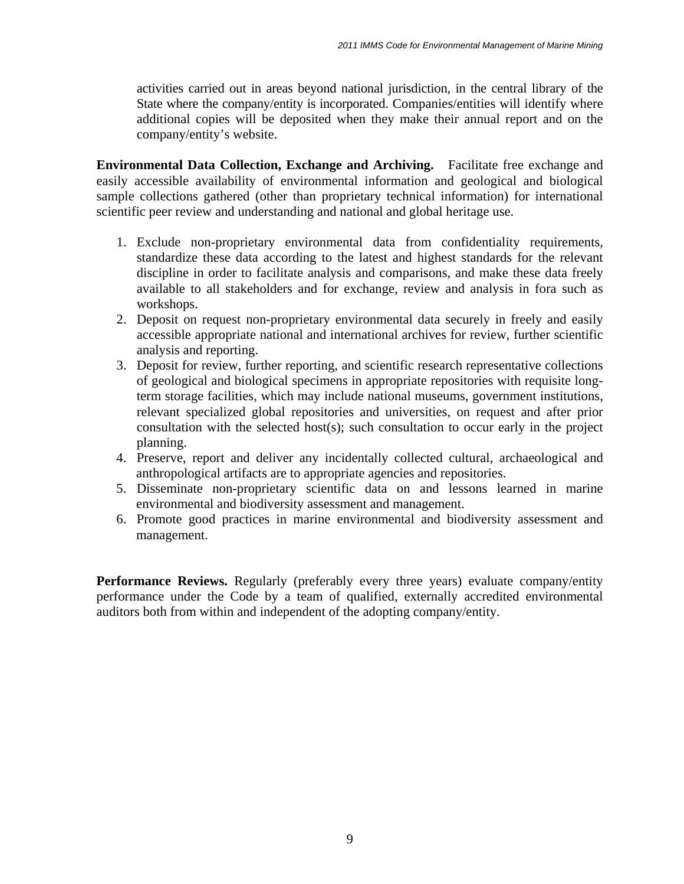activities carried out in areas beyond national jurisdiction, in the central library of the State where the company/entity is incorporated. Companies/entities will identify where additional copies will be deposited when they make their annual report and on the company/entity's website.

**Environmental Data Collection, Exchange and Archiving.** Facilitate free exchange and easily accessible availability of environmental information and geological and biological sample collections gathered (other than proprietary technical information) for international scientific peer review and understanding and national and global heritage use.

- 1. Exclude non-proprietary environmental data from confidentiality requirements, standardize these data according to the latest and highest standards for the relevant discipline in order to facilitate analysis and comparisons, and make these data freely available to all stakeholders and for exchange, review and analysis in fora such as workshops.
- 2. Deposit on request non-proprietary environmental data securely in freely and easily accessible appropriate national and international archives for review, further scientific analysis and reporting.
- 3. Deposit for review, further reporting, and scientific research representative collections of geological and biological specimens in appropriate repositories with requisite longterm storage facilities, which may include national museums, government institutions, relevant specialized global repositories and universities, on request and after prior consultation with the selected host(s); such consultation to occur early in the project planning.
- 4. Preserve, report and deliver any incidentally collected cultural, archaeological and anthropological artifacts are to appropriate agencies and repositories.
- 5. Disseminate non-proprietary scientific data on and lessons learned in marine environmental and biodiversity assessment and management.
- 6. Promote good practices in marine environmental and biodiversity assessment and management.

**Performance Reviews.** Regularly (preferably every three years) evaluate company/entity performance under the Code by a team of qualified, externally accredited environmental auditors both from within and independent of the adopting company/entity.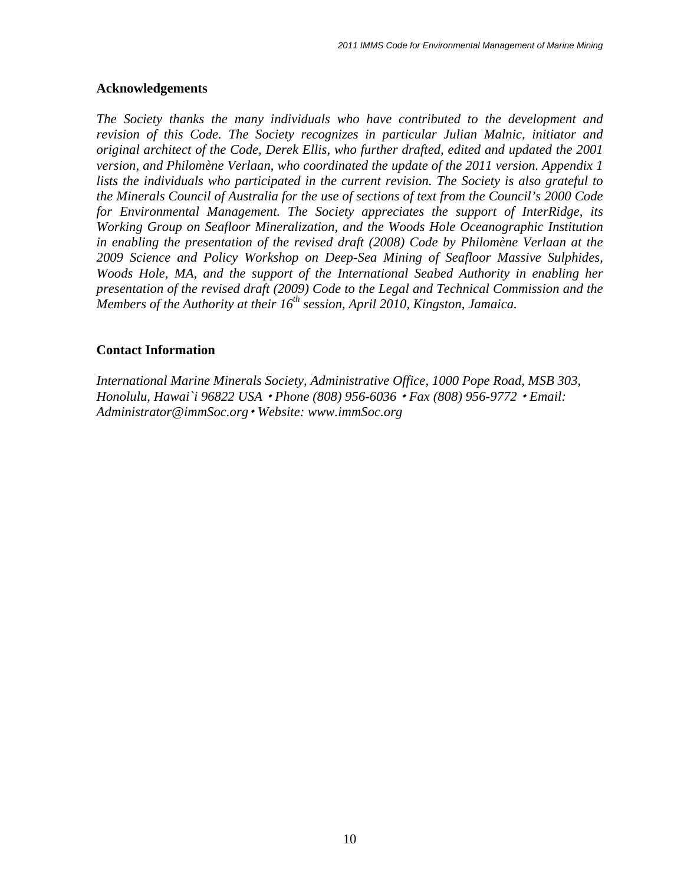#### **Acknowledgements**

*The Society thanks the many individuals who have contributed to the development and revision of this Code. The Society recognizes in particular Julian Malnic, initiator and original architect of the Code, Derek Ellis, who further drafted, edited and updated the 2001 version, and Philomène Verlaan, who coordinated the update of the 2011 version. Appendix 1 lists the individuals who participated in the current revision. The Society is also grateful to the Minerals Council of Australia for the use of sections of text from the Council's 2000 Code for Environmental Management. The Society appreciates the support of InterRidge, its Working Group on Seafloor Mineralization, and the Woods Hole Oceanographic Institution in enabling the presentation of the revised draft (2008) Code by Philomène Verlaan at the 2009 Science and Policy Workshop on Deep-Sea Mining of Seafloor Massive Sulphides, Woods Hole, MA, and the support of the International Seabed Authority in enabling her presentation of the revised draft (2009) Code to the Legal and Technical Commission and the Members of the Authority at their 16<sup>th</sup> session, April 2010, Kingston, Jamaica.* 

#### **Contact Information**

*International Marine Minerals Society, Administrative Office, 1000 Pope Road, MSB 303, Honolulu, Hawai`i 96822 USA Phone (808) 956-6036 Fax (808) 956-9772 Email: Administrator@immSoc.org Website: www.immSoc.org*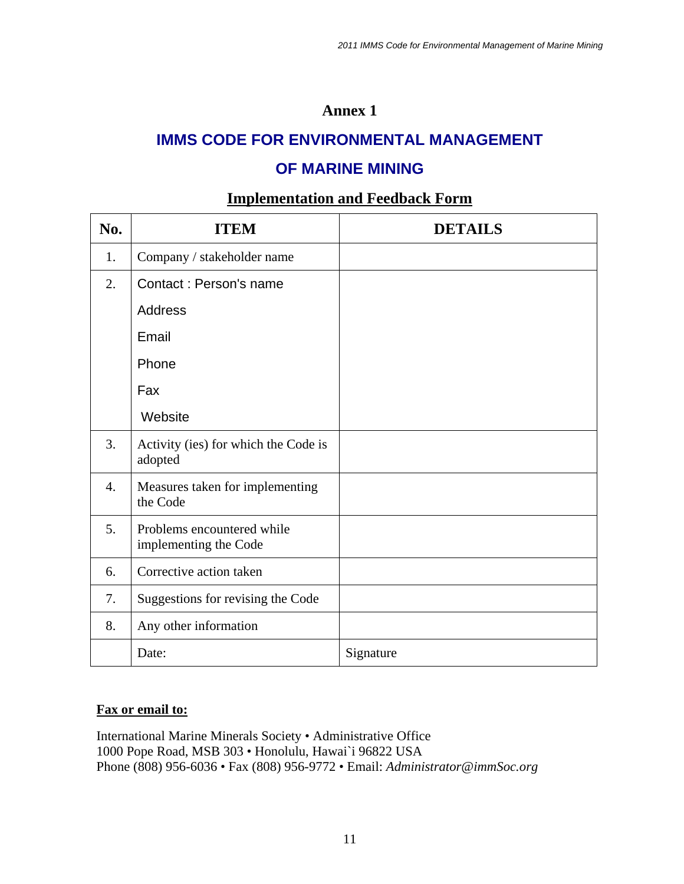### **Annex 1**

# **IMMS CODE FOR ENVIRONMENTAL MANAGEMENT**

## **OF MARINE MINING**

### **Implementation and Feedback Form**

| No.              | <b>ITEM</b>                                         | <b>DETAILS</b> |
|------------------|-----------------------------------------------------|----------------|
| 1.               | Company / stakeholder name                          |                |
| 2.               | Contact: Person's name                              |                |
|                  | <b>Address</b>                                      |                |
|                  | Email                                               |                |
|                  | Phone                                               |                |
|                  | Fax                                                 |                |
|                  | Website                                             |                |
| 3.               | Activity (ies) for which the Code is<br>adopted     |                |
| $\overline{4}$ . | Measures taken for implementing<br>the Code         |                |
| 5.               | Problems encountered while<br>implementing the Code |                |
| 6.               | Corrective action taken                             |                |
| 7.               | Suggestions for revising the Code                   |                |
| 8.               | Any other information                               |                |
|                  | Date:                                               | Signature      |

#### **Fax or email to:**

International Marine Minerals Society • Administrative Office 1000 Pope Road, MSB 303 • Honolulu, Hawai`i 96822 USA Phone (808) 956-6036 • Fax (808) 956-9772 • Email: *Administrator@immSoc.org*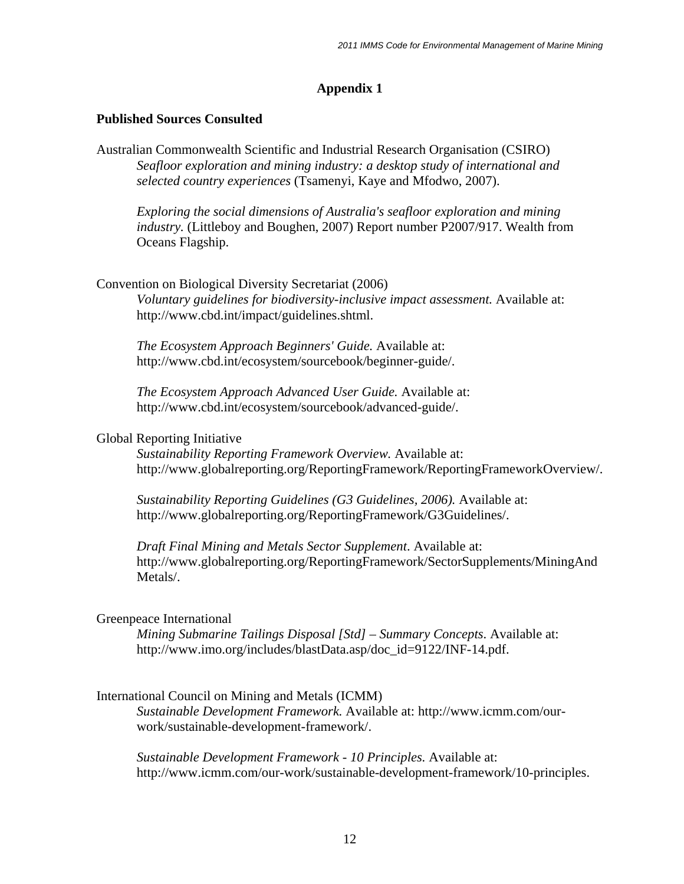#### **Appendix 1**

#### **Published Sources Consulted**

Australian Commonwealth Scientific and Industrial Research Organisation (CSIRO) *Seafloor exploration and mining industry: a desktop study of international and selected country experiences* (Tsamenyi, Kaye and Mfodwo, 2007).

*Exploring the social dimensions of Australia's seafloor exploration and mining industry.* (Littleboy and Boughen, 2007) Report number P2007/917. Wealth from Oceans Flagship.

#### Convention on Biological Diversity Secretariat (2006)

*Voluntary guidelines for biodiversity-inclusive impact assessment.* Available at: http://www.cbd.int/impact/guidelines.shtml.

*The Ecosystem Approach Beginners' Guide.* Available at: http://www.cbd.int/ecosystem/sourcebook/beginner-guide/.

*The Ecosystem Approach Advanced User Guide.* Available at: http://www.cbd.int/ecosystem/sourcebook/advanced-guide/.

#### Global Reporting Initiative

*Sustainability Reporting Framework Overview.* Available at: http://www.globalreporting.org/ReportingFramework/ReportingFrameworkOverview/.

*Sustainability Reporting Guidelines (G3 Guidelines, 2006).* Available at: http://www.globalreporting.org/ReportingFramework/G3Guidelines/.

*Draft Final Mining and Metals Sector Supplement*. Available at: http://www.globalreporting.org/ReportingFramework/SectorSupplements/MiningAnd Metals/.

#### Greenpeace International

*Mining Submarine Tailings Disposal [Std] – Summary Concepts*. Available at: http://www.imo.org/includes/blastData.asp/doc\_id=9122/INF-14.pdf.

#### International Council on Mining and Metals (ICMM)

*Sustainable Development Framework.* Available at: http://www.icmm.com/our work/sustainable-development-framework/.

*Sustainable Development Framework - 10 Principles.* Available at: http://www.icmm.com/our-work/sustainable-development-framework/10-principles.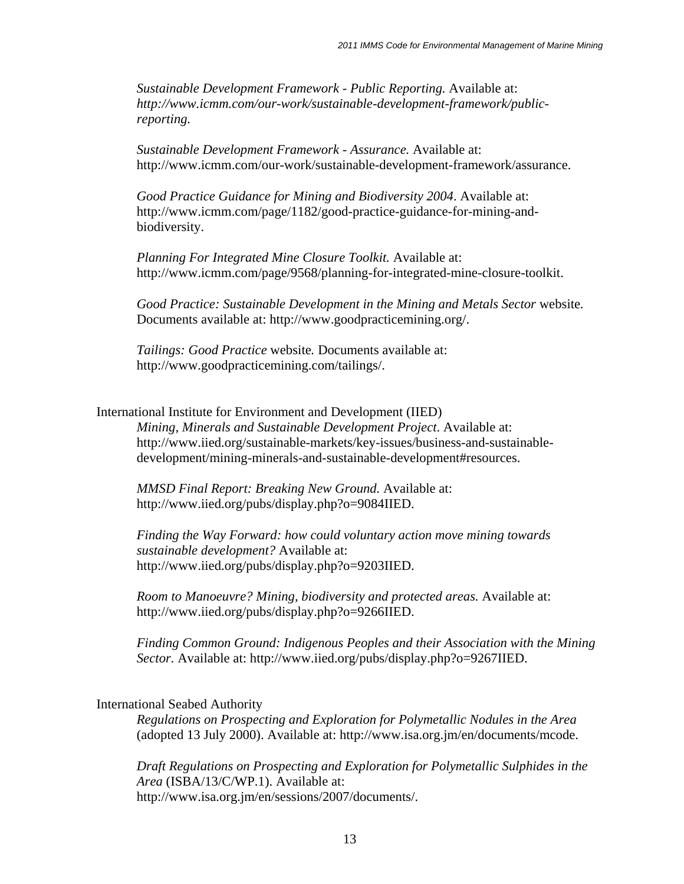*Sustainable Development Framework - Public Reporting.* Available at: *http://www.icmm.com/our-work/sustainable-development-framework/public reporting.* 

*Sustainable Development Framework - Assurance.* Available at: http://www.icmm.com/our-work/sustainable-development-framework/assurance.

*Good Practice Guidance for Mining and Biodiversity 2004*. Available at: http://www.icmm.com/page/1182/good-practice-guidance-for-mining-and biodiversity.

*Planning For Integrated Mine Closure Toolkit.* Available at: http://www.icmm.com/page/9568/planning-for-integrated-mine-closure-toolkit.

*Good Practice: Sustainable Development in the Mining and Metals Sector* website*.*  Documents available at: http://www.goodpracticemining.org/.

*Tailings: Good Practice* website*.* Documents available at: http://www.goodpracticemining.com/tailings/.

#### International Institute for Environment and Development (IIED)

*Mining, Minerals and Sustainable Development Project*. Available at: http://www.iied.org/sustainable-markets/key-issues/business-and-sustainable development/mining-minerals-and-sustainable-development#resources.

*MMSD Final Report: Breaking New Ground.* Available at: http://www.iied.org/pubs/display.php?o=9084IIED.

*Finding the Way Forward: how could voluntary action move mining towards sustainable development?* Available at: http://www.iied.org/pubs/display.php?o=9203IIED.

*Room to Manoeuvre? Mining, biodiversity and protected areas.* Available at: http://www.iied.org/pubs/display.php?o=9266IIED.

*Finding Common Ground: Indigenous Peoples and their Association with the Mining Sector.* Available at: http://www.iied.org/pubs/display.php?o=9267IIED.

#### International Seabed Authority

*Regulations on Prospecting and Exploration for Polymetallic Nodules in the Area*  (adopted 13 July 2000). Available at: http://www.isa.org.jm/en/documents/mcode.

*Draft Regulations on Prospecting and Exploration for Polymetallic Sulphides in the Area* (ISBA/13/C/WP.1). Available at: http://www.isa.org.jm/en/sessions/2007/documents/.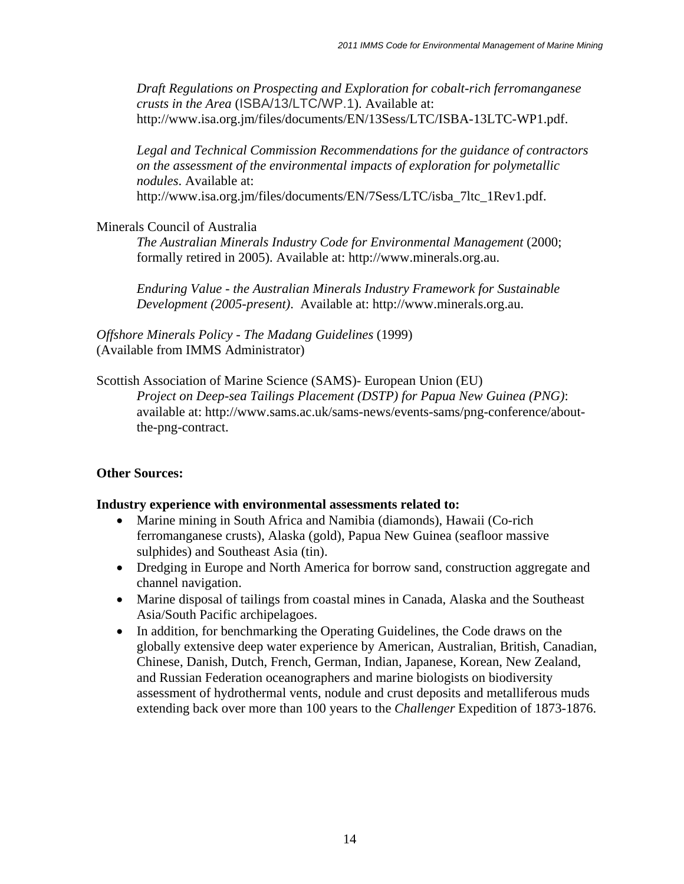*Draft Regulations on Prospecting and Exploration for cobalt-rich ferromanganese crusts in the Area* (ISBA/13/LTC/WP.1). Available at: http://www.isa.org.jm/files/documents/EN/13Sess/LTC/ISBA-13LTC-WP1.pdf.

*Legal and Technical Commission Recommendations for the guidance of contractors on the assessment of the environmental impacts of exploration for polymetallic nodules*. Available at:

http://www.isa.org.jm/files/documents/EN/7Sess/LTC/isba\_7ltc\_1Rev1.pdf.

Minerals Council of Australia

*The Australian Minerals Industry Code for Environmental Management* (2000; formally retired in 2005). Available at: http://www.minerals.org.au.

*Enduring Value - the Australian Minerals Industry Framework for Sustainable Development (2005-present)*. Available at: http://www.minerals.org.au.

*Offshore Minerals Policy - The Madang Guidelines* (1999) (Available from IMMS Administrator)

Scottish Association of Marine Science (SAMS)- European Union (EU)

*Project on Deep-sea Tailings Placement (DSTP) for Papua New Guinea (PNG)*: available at: http://www.sams.ac.uk/sams-news/events-sams/png-conference/about the-png-contract.

#### **Other Sources:**

#### **Industry experience with environmental assessments related to:**

- Marine mining in South Africa and Namibia (diamonds), Hawaii (Co-rich ferromanganese crusts), Alaska (gold), Papua New Guinea (seafloor massive sulphides) and Southeast Asia (tin).
- Dredging in Europe and North America for borrow sand, construction aggregate and channel navigation.
- Marine disposal of tailings from coastal mines in Canada, Alaska and the Southeast Asia/South Pacific archipelagoes.
- In addition, for benchmarking the Operating Guidelines, the Code draws on the globally extensive deep water experience by American, Australian, British, Canadian, Chinese, Danish, Dutch, French, German, Indian, Japanese, Korean, New Zealand, and Russian Federation oceanographers and marine biologists on biodiversity assessment of hydrothermal vents, nodule and crust deposits and metalliferous muds extending back over more than 100 years to the *Challenger* Expedition of 1873-1876.